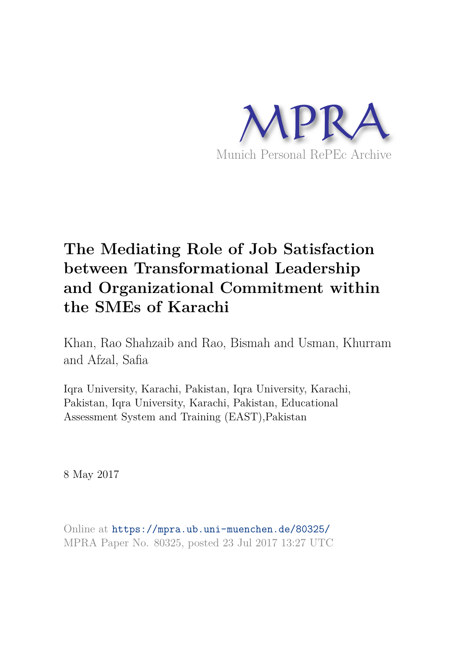

# **The Mediating Role of Job Satisfaction between Transformational Leadership and Organizational Commitment within the SMEs of Karachi**

Khan, Rao Shahzaib and Rao, Bismah and Usman, Khurram and Afzal, Safia

Iqra University, Karachi, Pakistan, Iqra University, Karachi, Pakistan, Iqra University, Karachi, Pakistan, Educational Assessment System and Training (EAST),Pakistan

8 May 2017

Online at https://mpra.ub.uni-muenchen.de/80325/ MPRA Paper No. 80325, posted 23 Jul 2017 13:27 UTC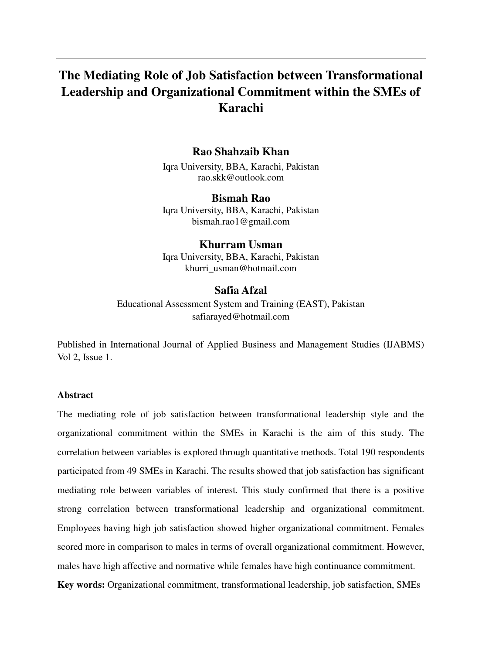# **The Mediating Role of Job Satisfaction between Transformational Leadership and Organizational Commitment within the SMEs of Karachi**

# **Rao Shahzaib Khan**

Iqra University, BBA, Karachi, Pakistan rao.skk@outlook.com

**Bismah Rao** Iqra University, BBA, Karachi, Pakistan bismah.rao1@gmail.com

# **Khurram Usman**

Iqra University, BBA, Karachi, Pakistan khurri\_usman@hotmail.com

# **Safia Afzal**

Educational Assessment System and Training (EAST), Pakistan safiarayed@hotmail.com

Published in International Journal of Applied Business and Management Studies (IJABMS) Vol 2, Issue 1.

# **Abstract**

The mediating role of job satisfaction between transformational leadership style and the organizational commitment within the SMEs in Karachi is the aim of this study. The correlation between variables is explored through quantitative methods. Total 190 respondents participated from 49 SMEs in Karachi. The results showed that job satisfaction has significant mediating role between variables of interest. This study confirmed that there is a positive strong correlation between transformational leadership and organizational commitment. Employees having high job satisfaction showed higher organizational commitment. Females scored more in comparison to males in terms of overall organizational commitment. However, males have high affective and normative while females have high continuance commitment. **Key words:** Organizational commitment, transformational leadership, job satisfaction, SMEs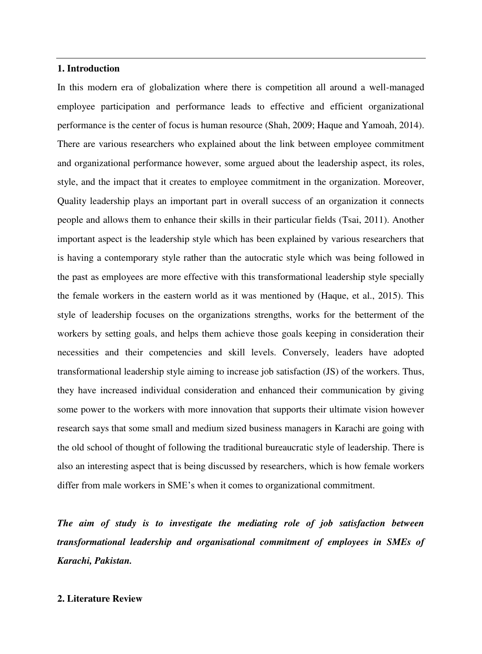# **1. Introduction**

In this modern era of globalization where there is competition all around a well-managed employee participation and performance leads to effective and efficient organizational performance is the center of focus is human resource (Shah, 2009; Haque and Yamoah, 2014). There are various researchers who explained about the link between employee commitment and organizational performance however, some argued about the leadership aspect, its roles, style, and the impact that it creates to employee commitment in the organization. Moreover, Quality leadership plays an important part in overall success of an organization it connects people and allows them to enhance their skills in their particular fields (Tsai, 2011). Another important aspect is the leadership style which has been explained by various researchers that is having a contemporary style rather than the autocratic style which was being followed in the past as employees are more effective with this transformational leadership style specially the female workers in the eastern world as it was mentioned by (Haque, et al., 2015). This style of leadership focuses on the organizations strengths, works for the betterment of the workers by setting goals, and helps them achieve those goals keeping in consideration their necessities and their competencies and skill levels. Conversely, leaders have adopted transformational leadership style aiming to increase job satisfaction (JS) of the workers. Thus, they have increased individual consideration and enhanced their communication by giving some power to the workers with more innovation that supports their ultimate vision however research says that some small and medium sized business managers in Karachi are going with the old school of thought of following the traditional bureaucratic style of leadership. There is also an interesting aspect that is being discussed by researchers, which is how female workers differ from male workers in SME's when it comes to organizational commitment.

*The aim of study is to investigate the mediating role of job satisfaction between transformational leadership and organisational commitment of employees in SMEs of Karachi, Pakistan.* 

# **2. Literature Review**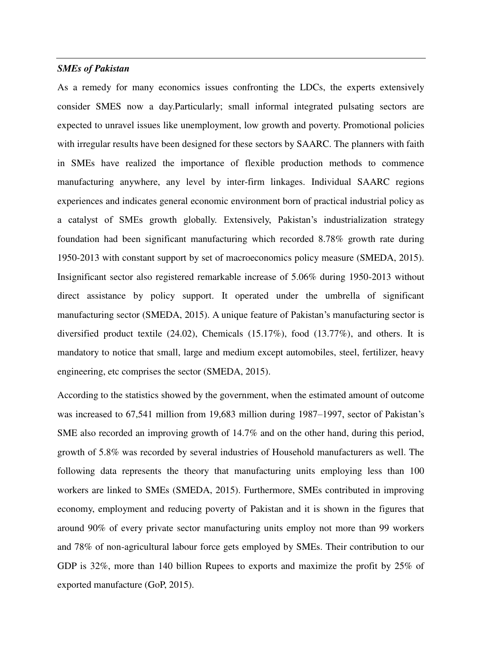# *SMEs of Pakistan*

As a remedy for many economics issues confronting the LDCs, the experts extensively consider SMES now a day.Particularly; small informal integrated pulsating sectors are expected to unravel issues like unemployment, low growth and poverty. Promotional policies with irregular results have been designed for these sectors by SAARC. The planners with faith in SMEs have realized the importance of flexible production methods to commence manufacturing anywhere, any level by inter-firm linkages. Individual SAARC regions experiences and indicates general economic environment born of practical industrial policy as a catalyst of SMEs growth globally. Extensively, Pakistan's industrialization strategy foundation had been significant manufacturing which recorded 8.78% growth rate during 1950-2013 with constant support by set of macroeconomics policy measure (SMEDA, 2015). Insignificant sector also registered remarkable increase of 5.06% during 1950-2013 without direct assistance by policy support. It operated under the umbrella of significant manufacturing sector (SMEDA, 2015). A unique feature of Pakistan's manufacturing sector is diversified product textile  $(24.02)$ , Chemicals  $(15.17\%)$ , food  $(13.77\%)$ , and others. It is mandatory to notice that small, large and medium except automobiles, steel, fertilizer, heavy engineering, etc comprises the sector (SMEDA, 2015).

According to the statistics showed by the government, when the estimated amount of outcome was increased to 67,541 million from 19,683 million during 1987–1997, sector of Pakistan's SME also recorded an improving growth of 14.7% and on the other hand, during this period, growth of 5.8% was recorded by several industries of Household manufacturers as well. The following data represents the theory that manufacturing units employing less than 100 workers are linked to SMEs (SMEDA, 2015). Furthermore, SMEs contributed in improving economy, employment and reducing poverty of Pakistan and it is shown in the figures that around 90% of every private sector manufacturing units employ not more than 99 workers and 78% of non-agricultural labour force gets employed by SMEs. Their contribution to our GDP is 32%, more than 140 billion Rupees to exports and maximize the profit by 25% of exported manufacture (GoP, 2015).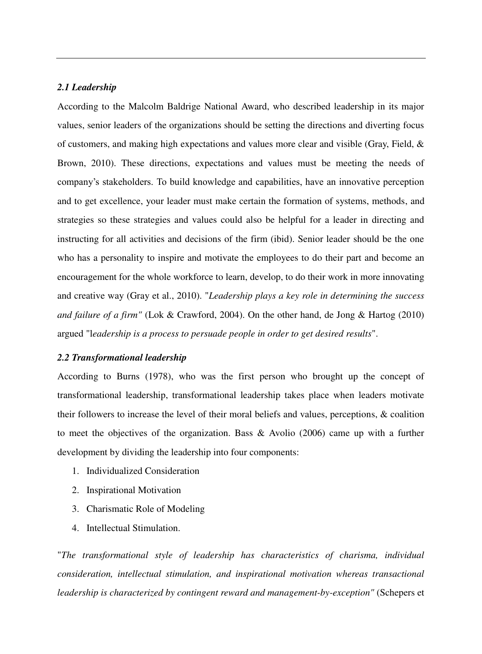### *2.1 Leadership*

According to the Malcolm Baldrige National Award, who described leadership in its major values, senior leaders of the organizations should be setting the directions and diverting focus of customers, and making high expectations and values more clear and visible (Gray, Field, & Brown, 2010). These directions, expectations and values must be meeting the needs of company's stakeholders. To build knowledge and capabilities, have an innovative perception and to get excellence, your leader must make certain the formation of systems, methods, and strategies so these strategies and values could also be helpful for a leader in directing and instructing for all activities and decisions of the firm (ibid). Senior leader should be the one who has a personality to inspire and motivate the employees to do their part and become an encouragement for the whole workforce to learn, develop, to do their work in more innovating and creative way (Gray et al., 2010). "*Leadership plays a key role in determining the success and failure of a firm"* (Lok & Crawford, 2004). On the other hand, de Jong & Hartog (2010) argued "l*eadership is a process to persuade people in order to get desired results*".

#### *2.2 Transformational leadership*

According to Burns (1978), who was the first person who brought up the concept of transformational leadership, transformational leadership takes place when leaders motivate their followers to increase the level of their moral beliefs and values, perceptions, & coalition to meet the objectives of the organization. Bass & Avolio (2006) came up with a further development by dividing the leadership into four components:

- 1. Individualized Consideration
- 2. Inspirational Motivation
- 3. Charismatic Role of Modeling
- 4. Intellectual Stimulation.

"*The transformational style of leadership has characteristics of charisma, individual consideration, intellectual stimulation, and inspirational motivation whereas transactional leadership is characterized by contingent reward and management-by-exception"* (Schepers et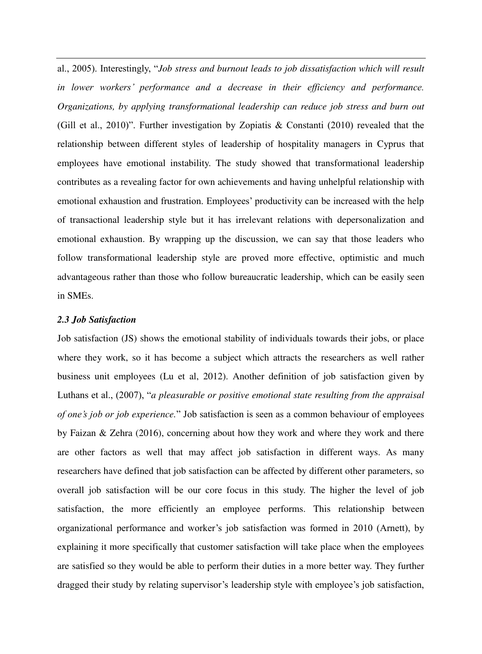al., 2005). Interestingly, "*Job stress and burnout leads to job dissatisfaction which will result in lower workers' performance and a decrease in their efficiency and performance. Organizations, by applying transformational leadership can reduce job stress and burn out* (Gill et al., 2010)". Further investigation by Zopiatis & Constanti (2010) revealed that the relationship between different styles of leadership of hospitality managers in Cyprus that employees have emotional instability. The study showed that transformational leadership contributes as a revealing factor for own achievements and having unhelpful relationship with emotional exhaustion and frustration. Employees' productivity can be increased with the help of transactional leadership style but it has irrelevant relations with depersonalization and emotional exhaustion. By wrapping up the discussion, we can say that those leaders who follow transformational leadership style are proved more effective, optimistic and much advantageous rather than those who follow bureaucratic leadership, which can be easily seen in SMEs.

#### *2.3 Job Satisfaction*

Job satisfaction (JS) shows the emotional stability of individuals towards their jobs, or place where they work, so it has become a subject which attracts the researchers as well rather business unit employees (Lu et al, 2012). Another definition of job satisfaction given by Luthans et al., (2007), "*a pleasurable or positive emotional state resulting from the appraisal of one's job or job experience.*" Job satisfaction is seen as a common behaviour of employees by Faizan & Zehra (2016), concerning about how they work and where they work and there are other factors as well that may affect job satisfaction in different ways. As many researchers have defined that job satisfaction can be affected by different other parameters, so overall job satisfaction will be our core focus in this study. The higher the level of job satisfaction, the more efficiently an employee performs. This relationship between organizational performance and worker's job satisfaction was formed in 2010 (Arnett), by explaining it more specifically that customer satisfaction will take place when the employees are satisfied so they would be able to perform their duties in a more better way. They further dragged their study by relating supervisor's leadership style with employee's job satisfaction,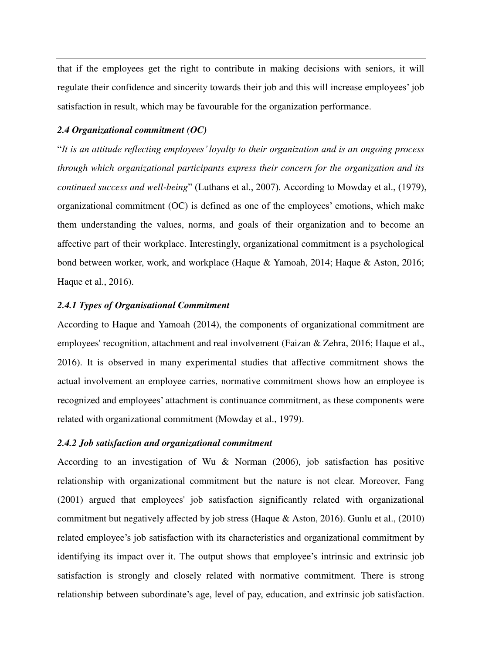that if the employees get the right to contribute in making decisions with seniors, it will regulate their confidence and sincerity towards their job and this will increase employees' job satisfaction in result, which may be favourable for the organization performance.

# *2.4 Organizational commitment (OC)*

"*It is an attitude reflecting employees' loyalty to their organization and is an ongoing process through which organizational participants express their concern for the organization and its continued success and well-being*" (Luthans et al., 2007). According to Mowday et al., (1979), organizational commitment (OC) is defined as one of the employees' emotions, which make them understanding the values, norms, and goals of their organization and to become an affective part of their workplace. Interestingly, organizational commitment is a psychological bond between worker, work, and workplace (Haque & Yamoah, 2014; Haque & Aston, 2016; Haque et al., 2016).

# *2.4.1 Types of Organisational Commitment*

According to Haque and Yamoah (2014), the components of organizational commitment are employees' recognition, attachment and real involvement (Faizan & Zehra, 2016; Haque et al., 2016). It is observed in many experimental studies that affective commitment shows the actual involvement an employee carries, normative commitment shows how an employee is recognized and employees' attachment is continuance commitment, as these components were related with organizational commitment (Mowday et al., 1979).

#### *2.4.2 Job satisfaction and organizational commitment*

According to an investigation of Wu & Norman (2006), job satisfaction has positive relationship with organizational commitment but the nature is not clear. Moreover, Fang (2001) argued that employees' job satisfaction significantly related with organizational commitment but negatively affected by job stress (Haque & Aston, 2016). Gunlu et al., (2010) related employee's job satisfaction with its characteristics and organizational commitment by identifying its impact over it. The output shows that employee's intrinsic and extrinsic job satisfaction is strongly and closely related with normative commitment. There is strong relationship between subordinate's age, level of pay, education, and extrinsic job satisfaction.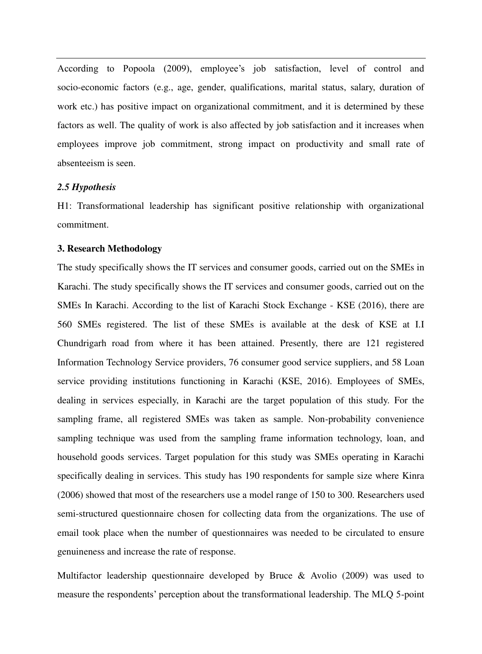According to Popoola (2009), employee's job satisfaction, level of control and socio-economic factors (e.g., age, gender, qualifications, marital status, salary, duration of work etc.) has positive impact on organizational commitment, and it is determined by these factors as well. The quality of work is also affected by job satisfaction and it increases when employees improve job commitment, strong impact on productivity and small rate of absenteeism is seen.

# *2.5 Hypothesis*

H1: Transformational leadership has significant positive relationship with organizational commitment.

#### **3. Research Methodology**

The study specifically shows the IT services and consumer goods, carried out on the SMEs in Karachi. The study specifically shows the IT services and consumer goods, carried out on the SMEs In Karachi. According to the list of Karachi Stock Exchange - KSE (2016), there are 560 SMEs registered. The list of these SMEs is available at the desk of KSE at I.I Chundrigarh road from where it has been attained. Presently, there are 121 registered Information Technology Service providers, 76 consumer good service suppliers, and 58 Loan service providing institutions functioning in Karachi (KSE, 2016). Employees of SMEs, dealing in services especially, in Karachi are the target population of this study. For the sampling frame, all registered SMEs was taken as sample. Non-probability convenience sampling technique was used from the sampling frame information technology, loan, and household goods services. Target population for this study was SMEs operating in Karachi specifically dealing in services. This study has 190 respondents for sample size where Kinra (2006) showed that most of the researchers use a model range of 150 to 300. Researchers used semi-structured questionnaire chosen for collecting data from the organizations. The use of email took place when the number of questionnaires was needed to be circulated to ensure genuineness and increase the rate of response.

Multifactor leadership questionnaire developed by Bruce & Avolio (2009) was used to measure the respondents' perception about the transformational leadership. The MLQ 5-point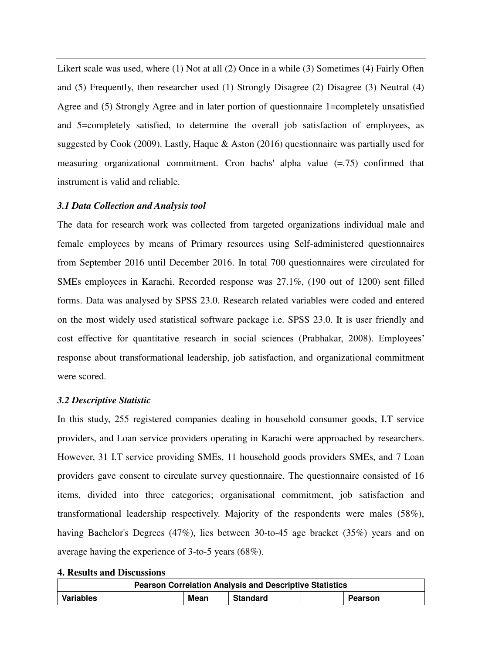Likert scale was used, where (1) Not at all (2) Once in a while (3) Sometimes (4) Fairly Often and (5) Frequently, then researcher used (1) Strongly Disagree (2) Disagree (3) Neutral (4) Agree and (5) Strongly Agree and in later portion of questionnaire 1=completely unsatisfied and 5=completely satisfied, to determine the overall job satisfaction of employees, as suggested by Cook (2009). Lastly, Haque & Aston (2016) questionnaire was partially used for measuring organizational commitment. Cron bachs' alpha value (=.75) confirmed that instrument is valid and reliable.

# *3.1 Data Collection and Analysis tool*

The data for research work was collected from targeted organizations individual male and female employees by means of Primary resources using Self-administered questionnaires from September 2016 until December 2016. In total 700 questionnaires were circulated for SMEs employees in Karachi. Recorded response was 27.1%, (190 out of 1200) sent filled forms. Data was analysed by SPSS 23.0. Research related variables were coded and entered on the most widely used statistical software package i.e. SPSS 23.0. It is user friendly and cost effective for quantitative research in social sciences (Prabhakar, 2008). Employees' response about transformational leadership, job satisfaction, and organizational commitment were scored.

# *3.2 Descriptive Statistic*

In this study, 255 registered companies dealing in household consumer goods, I.T service providers, and Loan service providers operating in Karachi were approached by researchers. However, 31 I.T service providing SMEs, 11 household goods providers SMEs, and 7 Loan providers gave consent to circulate survey questionnaire. The questionnaire consisted of 16 items, divided into three categories; organisational commitment, job satisfaction and transformational leadership respectively. Majority of the respondents were males (58%), having Bachelor's Degrees (47%), lies between 30-to-45 age bracket (35%) years and on average having the experience of 3-to-5 years (68%).

|  |  |  | <b>4. Results and Discussions</b> |
|--|--|--|-----------------------------------|
|--|--|--|-----------------------------------|

| <b>Pearson Correlation Analysis and Descriptive Statistics</b> |      |                 |  |         |  |  |
|----------------------------------------------------------------|------|-----------------|--|---------|--|--|
| Variables                                                      | Mean | <b>Standard</b> |  | Pearson |  |  |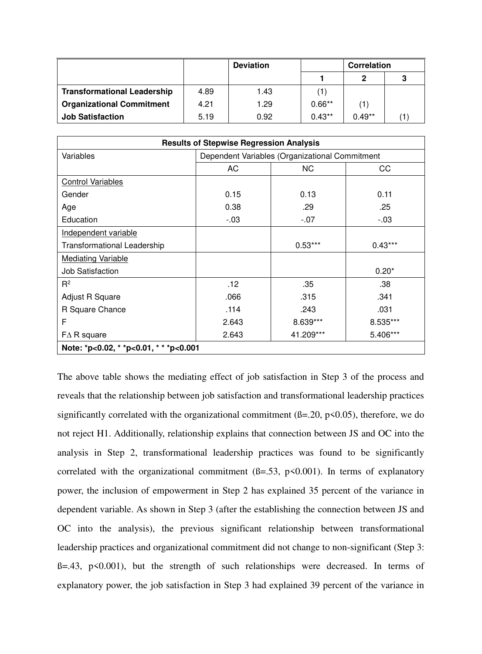|                                    | <b>Deviation</b> |      | <b>Correlation</b> |                   |   |
|------------------------------------|------------------|------|--------------------|-------------------|---|
|                                    |                  |      |                    | $\mathbf 2$       | 3 |
| <b>Transformational Leadership</b> | 4.89             | 1.43 | (1)                |                   |   |
| <b>Organizational Commitment</b>   | 4.21             | 1.29 | $0.66**$           | $\left( 1\right)$ |   |
| <b>Job Satisfaction</b>            | 5.19             | 0.92 | $0.43**$           | $0.49**$          |   |

| <b>Results of Stepwise Regression Analysis</b> |                                                |           |           |  |  |
|------------------------------------------------|------------------------------------------------|-----------|-----------|--|--|
| Variables                                      | Dependent Variables (Organizational Commitment |           |           |  |  |
|                                                | AC                                             | NC.       | CC        |  |  |
| <b>Control Variables</b>                       |                                                |           |           |  |  |
| Gender                                         | 0.15                                           | 0.13      | 0.11      |  |  |
| Age                                            | 0.38                                           | .29       | .25       |  |  |
| Education                                      | $-.03$                                         | $-.07$    | $-0.03$   |  |  |
| Independent variable                           |                                                |           |           |  |  |
| <b>Transformational Leadership</b>             |                                                | $0.53***$ | $0.43***$ |  |  |
| <b>Mediating Variable</b>                      |                                                |           |           |  |  |
| <b>Job Satisfaction</b>                        |                                                |           | $0.20*$   |  |  |
| $R^2$                                          | .12                                            | .35       | .38       |  |  |
| Adjust R Square                                | .066                                           | .315      | .341      |  |  |
| R Square Chance                                | .114                                           | .243      | .031      |  |  |
| F                                              | 2.643                                          | 8.639***  | 8.535***  |  |  |
| $FA$ R square                                  | 2.643                                          | 41.209*** | 5.406***  |  |  |
| Note: *p<0.02, * *p<0.01, * * *p<0.001         |                                                |           |           |  |  |

The above table shows the mediating effect of job satisfaction in Step 3 of the process and reveals that the relationship between job satisfaction and transformational leadership practices significantly correlated with the organizational commitment  $(\beta = 20, \beta < 0.05)$ , therefore, we do not reject H1. Additionally, relationship explains that connection between JS and OC into the analysis in Step 2, transformational leadership practices was found to be significantly correlated with the organizational commitment  $(6=.53, p<0.001)$ . In terms of explanatory power, the inclusion of empowerment in Step 2 has explained 35 percent of the variance in dependent variable. As shown in Step 3 (after the establishing the connection between JS and OC into the analysis), the previous significant relationship between transformational leadership practices and organizational commitment did not change to non-significant (Step 3:  $B=.43$ ,  $p<0.001$ , but the strength of such relationships were decreased. In terms of explanatory power, the job satisfaction in Step 3 had explained 39 percent of the variance in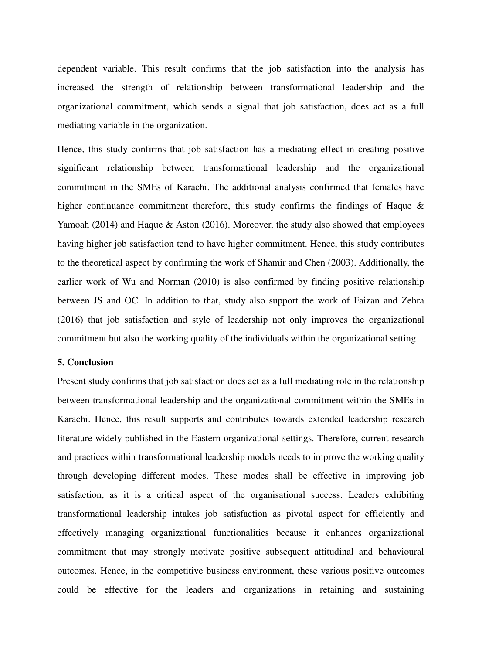dependent variable. This result confirms that the job satisfaction into the analysis has increased the strength of relationship between transformational leadership and the organizational commitment, which sends a signal that job satisfaction, does act as a full mediating variable in the organization.

Hence, this study confirms that job satisfaction has a mediating effect in creating positive significant relationship between transformational leadership and the organizational commitment in the SMEs of Karachi. The additional analysis confirmed that females have higher continuance commitment therefore, this study confirms the findings of Haque  $\&$ Yamoah (2014) and Haque & Aston (2016). Moreover, the study also showed that employees having higher job satisfaction tend to have higher commitment. Hence, this study contributes to the theoretical aspect by confirming the work of Shamir and Chen (2003). Additionally, the earlier work of Wu and Norman (2010) is also confirmed by finding positive relationship between JS and OC. In addition to that, study also support the work of Faizan and Zehra (2016) that job satisfaction and style of leadership not only improves the organizational commitment but also the working quality of the individuals within the organizational setting.

# **5. Conclusion**

Present study confirms that job satisfaction does act as a full mediating role in the relationship between transformational leadership and the organizational commitment within the SMEs in Karachi. Hence, this result supports and contributes towards extended leadership research literature widely published in the Eastern organizational settings. Therefore, current research and practices within transformational leadership models needs to improve the working quality through developing different modes. These modes shall be effective in improving job satisfaction, as it is a critical aspect of the organisational success. Leaders exhibiting transformational leadership intakes job satisfaction as pivotal aspect for efficiently and effectively managing organizational functionalities because it enhances organizational commitment that may strongly motivate positive subsequent attitudinal and behavioural outcomes. Hence, in the competitive business environment, these various positive outcomes could be effective for the leaders and organizations in retaining and sustaining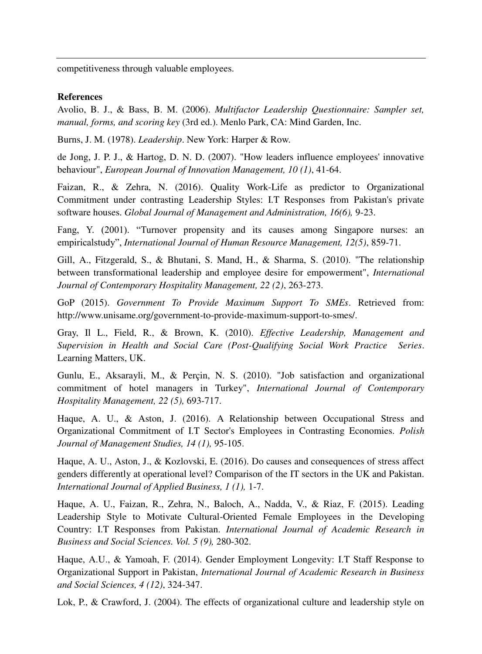competitiveness through valuable employees.

# **References**

Avolio, B. J., & Bass, B. M. (2006). *Multifactor Leadership Questionnaire: Sampler set, manual, forms, and scoring key* (3rd ed.). Menlo Park, CA: Mind Garden, Inc.

Burns, J. M. (1978). *Leadership*. New York: Harper & Row.

de Jong, J. P. J., & Hartog, D. N. D. (2007). "How leaders influence employees' innovative behaviour", *European Journal of Innovation Management, 10 (1)*, 41-64.

Faizan, R., & Zehra, N. (2016). Quality Work-Life as predictor to Organizational Commitment under contrasting Leadership Styles: I.T Responses from Pakistan's private software houses. *Global Journal of Management and Administration, 16(6),* 9-23.

Fang, Y. (2001). "Turnover propensity and its causes among Singapore nurses: an empiricalstudy", *International Journal of Human Resource Management, 12(5)*, 859-71.

Gill, A., Fitzgerald, S., & Bhutani, S. Mand, H., & Sharma, S. (2010). "The relationship between transformational leadership and employee desire for empowerment", *International Journal of Contemporary Hospitality Management, 22 (2)*, 263-273.

GoP (2015). *Government To Provide Maximum Support To SMEs*. Retrieved from: http://www.unisame.org/government-to-provide-maximum-support-to-smes/.

Gray, Il L., Field, R., & Brown, K. (2010). *Effective Leadership, Management and Supervision in Health and Social Care (Post-Qualifying Social Work Practice Series*. Learning Matters, UK.

Gunlu, E., Aksarayli, M., & Perçin, N. S. (2010). "Job satisfaction and organizational commitment of hotel managers in Turkey", *International Journal of Contemporary Hospitality Management, 22 (5),* 693-717.

Haque, A. U., & Aston, J. (2016). A Relationship between Occupational Stress and Organizational Commitment of I.T Sector's Employees in Contrasting Economies. *Polish Journal of Management Studies, 14 (1),* 95-105.

Haque, A. U., Aston, J., & Kozlovski, E. (2016). Do causes and consequences of stress affect genders differently at operational level? Comparison of the IT sectors in the UK and Pakistan. *International Journal of Applied Business, 1 (1),* 1-7.

Haque, A. U., Faizan, R., Zehra, N., Baloch, A., Nadda, V., & Riaz, F. (2015). Leading Leadership Style to Motivate Cultural-Oriented Female Employees in the Developing Country: I.T Responses from Pakistan. *International Journal of Academic Research in Business and Social Sciences. Vol. 5 (9),* 280-302.

Haque, A.U., & Yamoah, F. (2014). Gender Employment Longevity: I.T Staff Response to Organizational Support in Pakistan, *International Journal of Academic Research in Business and Social Sciences, 4 (12)*, 324-347.

Lok, P., & Crawford, J. (2004). The effects of organizational culture and leadership style on